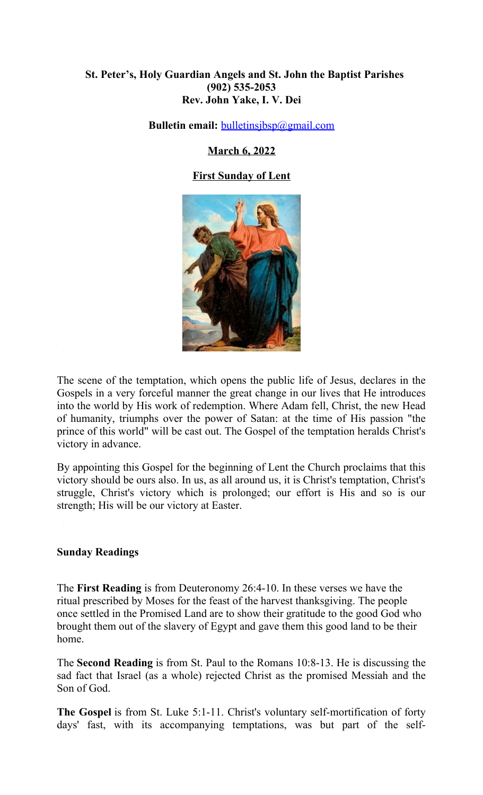## **St. Peter's, Holy Guardian Angels and St. John the Baptist Parishes (902) 535-2053 Rev. John Yake, I. V. Dei**

**Bulletin email:** [bulletinsjbsp@gmail.com](mailto:bulletinsjbsp@gmail.com)

**March 6, 2022**

# **First Sunday of Lent**



The scene of the temptation, which opens the public life of Jesus, declares in the Gospels in a very forceful manner the great change in our lives that He introduces into the world by His work of redemption. Where Adam fell, Christ, the new Head of humanity, triumphs over the power of Satan: at the time of His passion "the prince of this world" will be cast out. The Gospel of the temptation heralds Christ's victory in advance.

By appointing this Gospel for the beginning of Lent the Church proclaims that this victory should be ours also. In us, as all around us, it is Christ's temptation, Christ's struggle, Christ's victory which is prolonged; our effort is His and so is our strength; His will be our victory at Easter.

## **Sunday Readings**

The **First Reading** is from Deuteronomy 26:4-10. In these verses we have the ritual prescribed by Moses for the feast of the harvest thanksgiving. The people once settled in the Promised Land are to show their gratitude to the good God who brought them out of the slavery of Egypt and gave them this good land to be their home.

The **Second Reading** is from St. Paul to the Romans 10:8-13. He is discussing the sad fact that Israel (as a whole) rejected Christ as the promised Messiah and the Son of God.

**The Gospel** is from St. Luke 5:1-11. Christ's voluntary self-mortification of forty days' fast, with its accompanying temptations, was but part of the self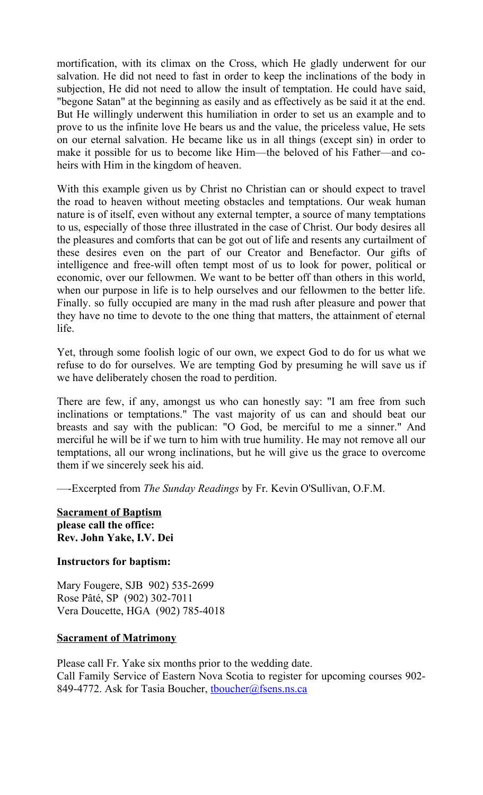mortification, with its climax on the Cross, which He gladly underwent for our salvation. He did not need to fast in order to keep the inclinations of the body in subjection, He did not need to allow the insult of temptation. He could have said, "begone Satan" at the beginning as easily and as effectively as be said it at the end. But He willingly underwent this humiliation in order to set us an example and to prove to us the infinite love He bears us and the value, the priceless value, He sets on our eternal salvation. He became like us in all things (except sin) in order to make it possible for us to become like Him—the beloved of his Father—and coheirs with Him in the kingdom of heaven.

With this example given us by Christ no Christian can or should expect to travel the road to heaven without meeting obstacles and temptations. Our weak human nature is of itself, even without any external tempter, a source of many temptations to us, especially of those three illustrated in the case of Christ. Our body desires all the pleasures and comforts that can be got out of life and resents any curtailment of these desires even on the part of our Creator and Benefactor. Our gifts of intelligence and free-will often tempt most of us to look for power, political or economic, over our fellowmen. We want to be better off than others in this world, when our purpose in life is to help ourselves and our fellowmen to the better life. Finally. so fully occupied are many in the mad rush after pleasure and power that they have no time to devote to the one thing that matters, the attainment of eternal life.

Yet, through some foolish logic of our own, we expect God to do for us what we refuse to do for ourselves. We are tempting God by presuming he will save us if we have deliberately chosen the road to perdition.

There are few, if any, amongst us who can honestly say: "I am free from such inclinations or temptations." The vast majority of us can and should beat our breasts and say with the publican: "O God, be merciful to me a sinner." And merciful he will be if we turn to him with true humility. He may not remove all our temptations, all our wrong inclinations, but he will give us the grace to overcome them if we sincerely seek his aid.

—-Excerpted from *The Sunday Readings* by Fr. Kevin O'Sullivan, O.F.M.

**Sacrament of Baptism please call the office: Rev. John Yake, I.V. Dei**

## **Instructors for baptism:**

Mary Fougere, SJB 902) 535-2699 Rose Pâté, SP (902) 302-7011 Vera Doucette, HGA (902) 785-4018

## **Sacrament of Matrimony**

Please call Fr. Yake six months prior to the wedding date. Call Family Service of Eastern Nova Scotia to register for upcoming courses 902- 849-4772. Ask for Tasia Boucher, thoucher@fsens.ns.ca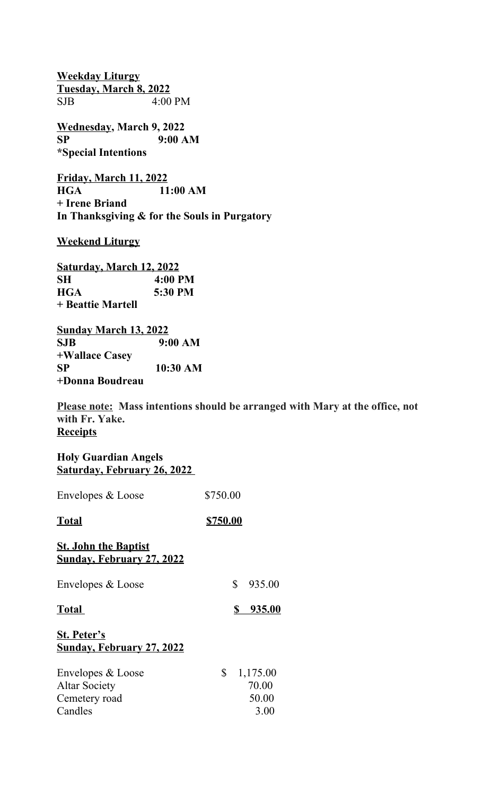**Weekday Liturgy Tuesday, March 8, 2022** SJB 4:00 PM

**Wednesday, March 9, 2022 SP 9:00 AM \*Special Intentions**

**Friday, March 11, 2022 HGA 11:00 AM + Irene Briand In Thanksgiving & for the Souls in Purgatory**

**Weekend Liturgy**

**Saturday, March 12, 2022 SH 4:00 PM HGA 5:30 PM + Beattie Martell** 

**Sunday March 13, 2022 SJB 9:00 AM +Wallace Casey SP 10:30 AM +Donna Boudreau**

**Please note: Mass intentions should be arranged with Mary at the office, not with Fr. Yake. Receipts**

| <b>Holy Guardian Angels</b>        |  |  |  |
|------------------------------------|--|--|--|
| <b>Saturday, February 26, 2022</b> |  |  |  |

| Envelopes & Loose                                               | \$750.00 |          |  |
|-----------------------------------------------------------------|----------|----------|--|
| Total                                                           | \$750.00 |          |  |
| <b>St. John the Baptist</b><br><b>Sunday, February 27, 2022</b> |          |          |  |
| Envelopes & Loose                                               | \$       | 935.00   |  |
| Total                                                           | \$       | 935.00   |  |
| <b>St. Peter's</b><br><b>Sunday, February 27, 2022</b>          |          |          |  |
| Envelopes & Loose                                               | \$       | 1,175.00 |  |
| <b>Altar Society</b>                                            | 70.00    |          |  |
| Cemetery road                                                   | 50.00    |          |  |
| Candles                                                         | 3.00     |          |  |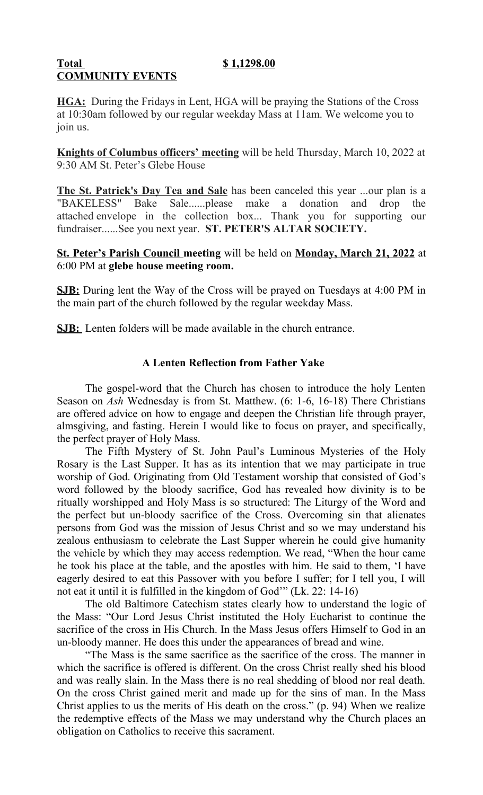#### **Total \$ 1,1298.00 COMMUNITY EVENTS**

**HGA:** During the Fridays in Lent, HGA will be praying the Stations of the Cross at 10:30am followed by our regular weekday Mass at 11am. We welcome you to join us.

**Knights of Columbus officers' meeting** will be held Thursday, March 10, 2022 at 9:30 AM St. Peter's Glebe House

**The St. Patrick's Day Tea and Sale** has been canceled this year ...our plan is a "BAKELESS" Bake Sale......please make a donation and drop the attached envelope in the collection box... Thank you for supporting our fundraiser......See you next year. **ST. PETER'S ALTAR SOCIETY.**

**St. Peter's Parish Council meeting** will be held on **Monday, March 21, 2022** at 6:00 PM at **glebe house meeting room.**

**SJB:** During lent the Way of the Cross will be prayed on Tuesdays at 4:00 PM in the main part of the church followed by the regular weekday Mass.

**SJB:** Lenten folders will be made available in the church entrance.

# **A Lenten Reflection from Father Yake**

The gospel-word that the Church has chosen to introduce the holy Lenten Season on *Ash* Wednesday is from St. Matthew. (6: 1-6, 16-18) There Christians are offered advice on how to engage and deepen the Christian life through prayer, almsgiving, and fasting. Herein I would like to focus on prayer, and specifically, the perfect prayer of Holy Mass.

The Fifth Mystery of St. John Paul's Luminous Mysteries of the Holy Rosary is the Last Supper. It has as its intention that we may participate in true worship of God. Originating from Old Testament worship that consisted of God's word followed by the bloody sacrifice, God has revealed how divinity is to be ritually worshipped and Holy Mass is so structured: The Liturgy of the Word and the perfect but un-bloody sacrifice of the Cross. Overcoming sin that alienates persons from God was the mission of Jesus Christ and so we may understand his zealous enthusiasm to celebrate the Last Supper wherein he could give humanity the vehicle by which they may access redemption. We read, "When the hour came he took his place at the table, and the apostles with him. He said to them, 'I have eagerly desired to eat this Passover with you before I suffer; for I tell you, I will not eat it until it is fulfilled in the kingdom of God'" (Lk. 22: 14-16)

The old Baltimore Catechism states clearly how to understand the logic of the Mass: "Our Lord Jesus Christ instituted the Holy Eucharist to continue the sacrifice of the cross in His Church. In the Mass Jesus offers Himself to God in an un-bloody manner. He does this under the appearances of bread and wine.

"The Mass is the same sacrifice as the sacrifice of the cross. The manner in which the sacrifice is offered is different. On the cross Christ really shed his blood and was really slain. In the Mass there is no real shedding of blood nor real death. On the cross Christ gained merit and made up for the sins of man. In the Mass Christ applies to us the merits of His death on the cross." (p. 94) When we realize the redemptive effects of the Mass we may understand why the Church places an obligation on Catholics to receive this sacrament.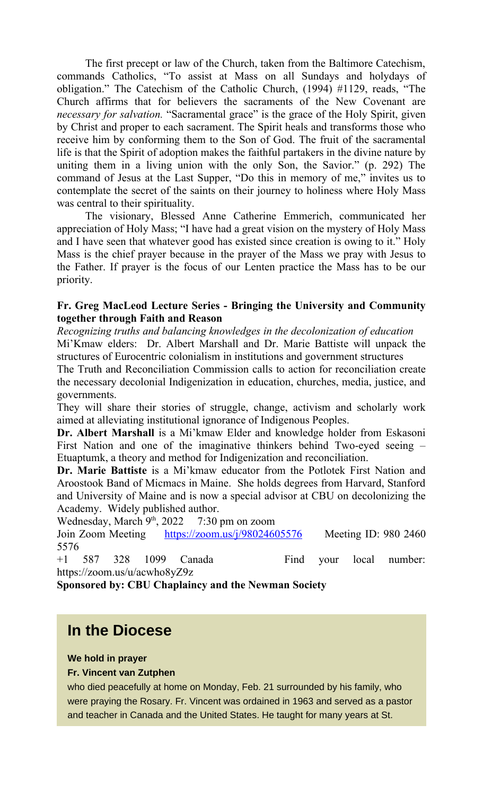The first precept or law of the Church, taken from the Baltimore Catechism, commands Catholics, "To assist at Mass on all Sundays and holydays of obligation." The Catechism of the Catholic Church, (1994) #1129, reads, "The Church affirms that for believers the sacraments of the New Covenant are *necessary for salvation.* "Sacramental grace" is the grace of the Holy Spirit, given by Christ and proper to each sacrament. The Spirit heals and transforms those who receive him by conforming them to the Son of God. The fruit of the sacramental life is that the Spirit of adoption makes the faithful partakers in the divine nature by uniting them in a living union with the only Son, the Savior." (p. 292) The command of Jesus at the Last Supper, "Do this in memory of me," invites us to contemplate the secret of the saints on their journey to holiness where Holy Mass was central to their spirituality.

The visionary, Blessed Anne Catherine Emmerich, communicated her appreciation of Holy Mass; "I have had a great vision on the mystery of Holy Mass and I have seen that whatever good has existed since creation is owing to it." Holy Mass is the chief prayer because in the prayer of the Mass we pray with Jesus to the Father. If prayer is the focus of our Lenten practice the Mass has to be our priority.

## **Fr. Greg MacLeod Lecture Series - Bringing the University and Community together through Faith and Reason**

*Recognizing truths and balancing knowledges in the decolonization of education* Mi'Kmaw elders: Dr. Albert Marshall and Dr. Marie Battiste will unpack the structures of Eurocentric colonialism in institutions and government structures

The Truth and Reconciliation Commission calls to action for reconciliation create the necessary decolonial Indigenization in education, churches, media, justice, and governments.

They will share their stories of struggle, change, activism and scholarly work aimed at alleviating institutional ignorance of Indigenous Peoples.

**Dr. Albert Marshall** is a Mi'kmaw Elder and knowledge holder from Eskasoni First Nation and one of the imaginative thinkers behind Two-eyed seeing – Etuaptumk, a theory and method for Indigenization and reconciliation.

**Dr. Marie Battiste** is a Mi'kmaw educator from the Potlotek First Nation and Aroostook Band of Micmacs in Maine. She holds degrees from Harvard, Stanford and University of Maine and is now a special advisor at CBU on decolonizing the Academy. Widely published author.

Wednesday, March  $9<sup>th</sup>$ , 2022 7:30 pm on zoom Join Zoom Meeting <https://zoom.us/j/98024605576>Meeting ID: 980 2460 5576

+1 587 328 1099 Canada Find your local number: https://zoom.us/u/acwho8yZ9z

**Sponsored by: CBU Chaplaincy and the Newman Society**

# **In the Diocese**

## **We hold in prayer**

#### **Fr. Vincent van Zutphen**

who died peacefully at home on Monday, Feb. 21 surrounded by his family, who were praying the Rosary. Fr. Vincent was ordained in 1963 and served as a pastor and teacher in Canada and the United States. He taught for many years at St.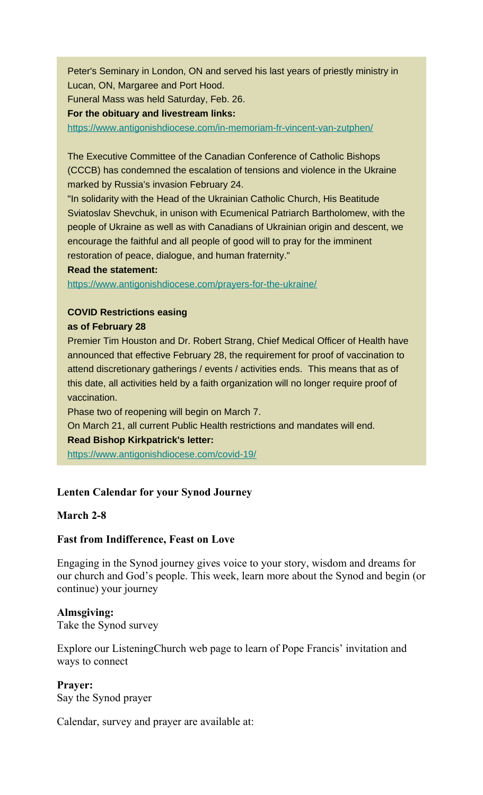Peter's Seminary in London, ON and served his last years of priestly ministry in Lucan, ON, Margaree and Port Hood.

Funeral Mass was held Saturday, Feb. 26.

**For the obituary and livestream links:**

[https://www.antigonishdiocese.com/in-memoriam-fr-vincent-van-zutphen/](https://antigonishdiocese.us11.list-manage.com/track/click?u=46108c95b96680ff598b4aa1d&id=777c8981e3&e=60939d450d)

The Executive Committee of the Canadian Conference of Catholic Bishops (CCCB) has condemned the escalation of tensions and violence in the Ukraine marked by Russia's invasion February 24.

"In solidarity with the Head of the Ukrainian Catholic Church, His Beatitude Sviatoslav Shevchuk, in unison with Ecumenical Patriarch Bartholomew, with the people of Ukraine as well as with Canadians of Ukrainian origin and descent, we encourage the faithful and all people of good will to pray for the imminent restoration of peace, dialogue, and human fraternity."

#### **Read the statement:**

[https://www.antigonishdiocese.com/prayers-for-the-ukraine/](https://antigonishdiocese.us11.list-manage.com/track/click?u=46108c95b96680ff598b4aa1d&id=93e7edf132&e=60939d450d)

## **COVID Restrictions easing**

#### **as of February 28**

Premier Tim Houston and Dr. Robert Strang, Chief Medical Officer of Health have announced that effective February 28, the requirement for proof of vaccination to attend discretionary gatherings / events / activities ends. This means that as of this date, all activities held by a faith organization will no longer require proof of vaccination.

Phase two of reopening will begin on March 7.

On March 21, all current Public Health restrictions and mandates will end.

#### **Read Bishop Kirkpatrick's letter:**

[https://www.antigonishdiocese.com/covid-19/](https://antigonishdiocese.us11.list-manage.com/track/click?u=46108c95b96680ff598b4aa1d&id=06de12e5a8&e=60939d450d)

## **Lenten Calendar for your Synod Journey**

#### **March 2-8**

#### **Fast from Indifference, Feast on Love**

Engaging in the Synod journey gives voice to your story, wisdom and dreams for our church and God's people. This week, learn more about the Synod and begin (or continue) your journey

#### **Almsgiving:**

Take the Synod survey

Explore our ListeningChurch web page to learn of Pope Francis' invitation and ways to connect

#### **Prayer:**

Say the Synod prayer

Calendar, survey and prayer are available at: